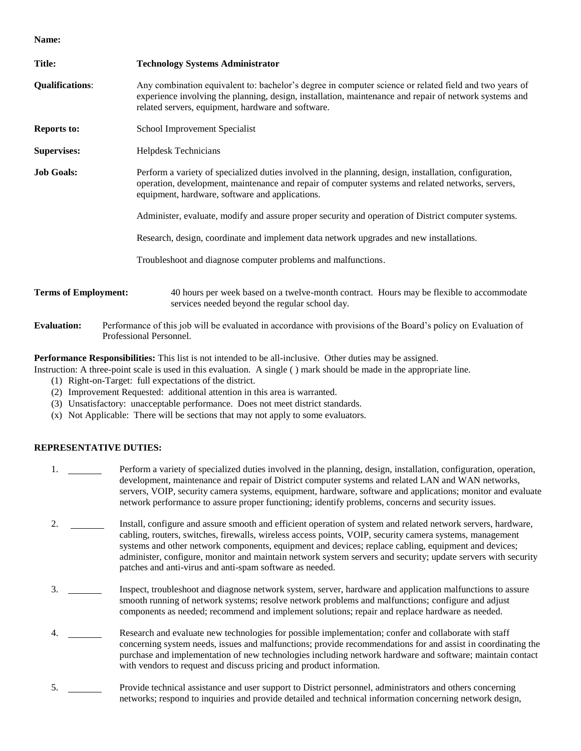**Name:**

| <b>Title:</b>                                                                                                                                                   | <b>Technology Systems Administrator</b>                                                                                                                                                                                                                                |  |  |
|-----------------------------------------------------------------------------------------------------------------------------------------------------------------|------------------------------------------------------------------------------------------------------------------------------------------------------------------------------------------------------------------------------------------------------------------------|--|--|
| <b>Qualifications:</b>                                                                                                                                          | Any combination equivalent to: bachelor's degree in computer science or related field and two years of<br>experience involving the planning, design, installation, maintenance and repair of network systems and<br>related servers, equipment, hardware and software. |  |  |
| <b>Reports to:</b>                                                                                                                                              | School Improvement Specialist                                                                                                                                                                                                                                          |  |  |
| <b>Supervises:</b>                                                                                                                                              | Helpdesk Technicians                                                                                                                                                                                                                                                   |  |  |
| <b>Job Goals:</b>                                                                                                                                               | Perform a variety of specialized duties involved in the planning, design, installation, configuration,<br>operation, development, maintenance and repair of computer systems and related networks, servers,<br>equipment, hardware, software and applications.         |  |  |
|                                                                                                                                                                 | Administer, evaluate, modify and assure proper security and operation of District computer systems.                                                                                                                                                                    |  |  |
|                                                                                                                                                                 | Research, design, coordinate and implement data network upgrades and new installations.                                                                                                                                                                                |  |  |
|                                                                                                                                                                 | Troubleshoot and diagnose computer problems and malfunctions.                                                                                                                                                                                                          |  |  |
| <b>Terms of Employment:</b>                                                                                                                                     | 40 hours per week based on a twelve-month contract. Hours may be flexible to accommodate<br>services needed beyond the regular school day.                                                                                                                             |  |  |
| Performance of this job will be evaluated in accordance with provisions of the Board's policy on Evaluation of<br><b>Evaluation:</b><br>Professional Personnel. |                                                                                                                                                                                                                                                                        |  |  |

**Performance Responsibilities:** This list is not intended to be all-inclusive. Other duties may be assigned.

Instruction: A three-point scale is used in this evaluation. A single ( ) mark should be made in the appropriate line.

- (1) Right-on-Target: full expectations of the district.
- (2) Improvement Requested: additional attention in this area is warranted.
- (3) Unsatisfactory: unacceptable performance. Does not meet district standards.
- (x) Not Applicable: There will be sections that may not apply to some evaluators.

## **REPRESENTATIVE DUTIES:**

- 1. Perform a variety of specialized duties involved in the planning, design, installation, configuration, operation, development, maintenance and repair of District computer systems and related LAN and WAN networks, servers, VOIP, security camera systems, equipment, hardware, software and applications; monitor and evaluate network performance to assure proper functioning; identify problems, concerns and security issues.
- 2. Install, configure and assure smooth and efficient operation of system and related network servers, hardware, cabling, routers, switches, firewalls, wireless access points, VOIP, security camera systems, management systems and other network components, equipment and devices; replace cabling, equipment and devices; administer, configure, monitor and maintain network system servers and security; update servers with security patches and anti-virus and anti-spam software as needed.
- 3. Inspect, troubleshoot and diagnose network system, server, hardware and application malfunctions to assure smooth running of network systems; resolve network problems and malfunctions; configure and adjust components as needed; recommend and implement solutions; repair and replace hardware as needed.
- 4. Research and evaluate new technologies for possible implementation; confer and collaborate with staff concerning system needs, issues and malfunctions; provide recommendations for and assist in coordinating the purchase and implementation of new technologies including network hardware and software; maintain contact with vendors to request and discuss pricing and product information.
- 5. Provide technical assistance and user support to District personnel, administrators and others concerning networks; respond to inquiries and provide detailed and technical information concerning network design,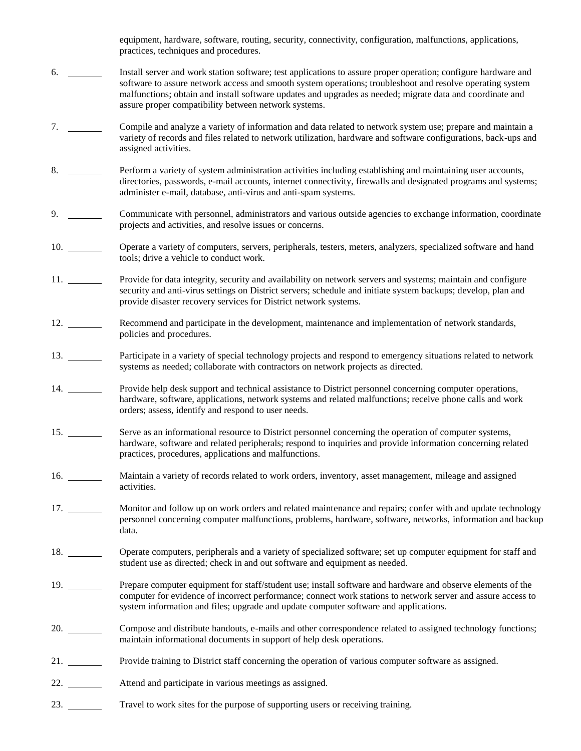equipment, hardware, software, routing, security, connectivity, configuration, malfunctions, applications, practices, techniques and procedures.

- 6. Install server and work station software; test applications to assure proper operation; configure hardware and software to assure network access and smooth system operations; troubleshoot and resolve operating system malfunctions; obtain and install software updates and upgrades as needed; migrate data and coordinate and assure proper compatibility between network systems.
- 7. Compile and analyze a variety of information and data related to network system use; prepare and maintain a variety of records and files related to network utilization, hardware and software configurations, back-ups and assigned activities.
- 8. Perform a variety of system administration activities including establishing and maintaining user accounts, directories, passwords, e-mail accounts, internet connectivity, firewalls and designated programs and systems; administer e-mail, database, anti-virus and anti-spam systems.
- 9. Communicate with personnel, administrators and various outside agencies to exchange information, coordinate projects and activities, and resolve issues or concerns.
- 10. Operate a variety of computers, servers, peripherals, testers, meters, analyzers, specialized software and hand tools; drive a vehicle to conduct work.
- 11. Provide for data integrity, security and availability on network servers and systems; maintain and configure security and anti-virus settings on District servers; schedule and initiate system backups; develop, plan and provide disaster recovery services for District network systems.
- 12. Recommend and participate in the development, maintenance and implementation of network standards, policies and procedures.
- 13. Participate in a variety of special technology projects and respond to emergency situations related to network systems as needed; collaborate with contractors on network projects as directed.
- 14. Provide help desk support and technical assistance to District personnel concerning computer operations, hardware, software, applications, network systems and related malfunctions; receive phone calls and work orders; assess, identify and respond to user needs.
- 15. Serve as an informational resource to District personnel concerning the operation of computer systems, hardware, software and related peripherals; respond to inquiries and provide information concerning related practices, procedures, applications and malfunctions.
- 16. Maintain a variety of records related to work orders, inventory, asset management, mileage and assigned activities.
- 17. Monitor and follow up on work orders and related maintenance and repairs; confer with and update technology personnel concerning computer malfunctions, problems, hardware, software, networks, information and backup data.
- 18. Operate computers, peripherals and a variety of specialized software; set up computer equipment for staff and student use as directed; check in and out software and equipment as needed.
- 19. Prepare computer equipment for staff/student use; install software and hardware and observe elements of the computer for evidence of incorrect performance; connect work stations to network server and assure access to system information and files; upgrade and update computer software and applications.
- 20. Compose and distribute handouts, e-mails and other correspondence related to assigned technology functions; maintain informational documents in support of help desk operations.
- 21. Provide training to District staff concerning the operation of various computer software as assigned.
- 22. Attend and participate in various meetings as assigned.
- 23. Travel to work sites for the purpose of supporting users or receiving training.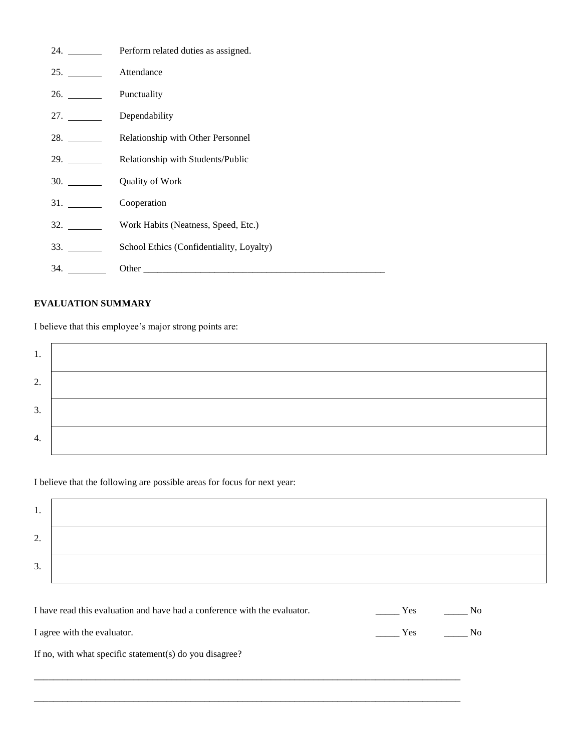| 24.                                      | Perform related duties as assigned.      |
|------------------------------------------|------------------------------------------|
| 25.                                      | Attendance                               |
| 26.                                      | Punctuality                              |
| 27.                                      | Dependability                            |
|                                          | Relationship with Other Personnel        |
| 29.                                      | Relationship with Students/Public        |
| 30.                                      | Quality of Work                          |
| <b>31.</b> The same of $\overline{31}$ . | Cooperation                              |
| 32.                                      | Work Habits (Neatness, Speed, Etc.)      |
| 33.                                      | School Ethics (Confidentiality, Loyalty) |
| 34.                                      |                                          |

## **EVALUATION SUMMARY**

I believe that this employee's major strong points are:

| ι.                                        |  |
|-------------------------------------------|--|
| $\mathcal{D}$<br>$\overline{\phantom{a}}$ |  |
| 3.                                        |  |
| 4.                                        |  |

I believe that the following are possible areas for focus for next year:

| . .                           |  |
|-------------------------------|--|
| ◠<br>$\overline{\phantom{a}}$ |  |
| $\mathbf{c}$<br>. ب           |  |

| I have read this evaluation and have had a conference with the evaluator. | Yes | No. |
|---------------------------------------------------------------------------|-----|-----|
| I agree with the evaluator.                                               | Yes | No. |
| If no, with what specific statement(s) do you disagree?                   |     |     |

\_\_\_\_\_\_\_\_\_\_\_\_\_\_\_\_\_\_\_\_\_\_\_\_\_\_\_\_\_\_\_\_\_\_\_\_\_\_\_\_\_\_\_\_\_\_\_\_\_\_\_\_\_\_\_\_\_\_\_\_\_\_\_\_\_\_\_\_\_\_\_\_\_\_\_\_\_\_\_\_\_\_\_\_\_\_\_\_\_\_

\_\_\_\_\_\_\_\_\_\_\_\_\_\_\_\_\_\_\_\_\_\_\_\_\_\_\_\_\_\_\_\_\_\_\_\_\_\_\_\_\_\_\_\_\_\_\_\_\_\_\_\_\_\_\_\_\_\_\_\_\_\_\_\_\_\_\_\_\_\_\_\_\_\_\_\_\_\_\_\_\_\_\_\_\_\_\_\_\_\_